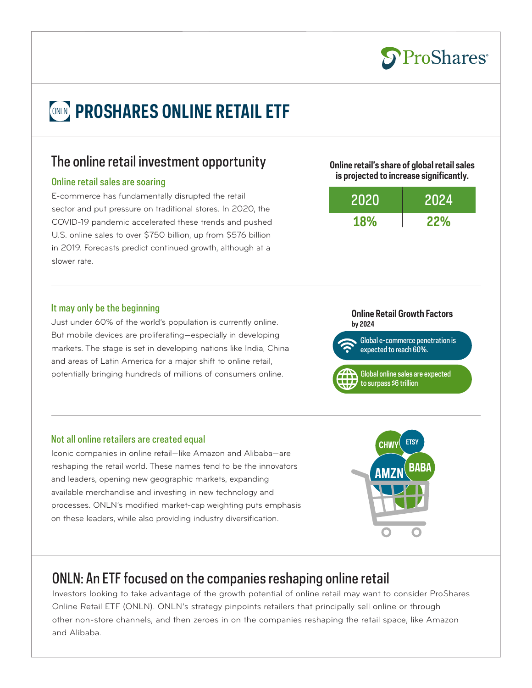

# *CONLIN* PROSHARES ONLINE RETAIL ETF

## The online retail investment opportunity

#### Online retail sales are soaring

E-commerce has fundamentally disrupted the retail sector and put pressure on traditional stores. In 2020, the COVID-19 pandemic accelerated these trends and pushed U.S. online sales to over \$750 billion, up from \$576 billion in 2019. Forecasts predict continued growth, although at a slower rate.

#### It may only be the beginning

Just under 60% of the world's population is currently online. But mobile devices are proliferating—especially in developing markets. The stage is set in developing nations like India, China and areas of Latin America for a major shift to online retail, potentially bringing hundreds of millions of consumers online.

#### **Online retail's share of global retail sales is projected to increase significantly.**

| 2020       | 2024       |
|------------|------------|
| <b>18%</b> | <b>22%</b> |

#### **Online Retail Growth Factors by 2024**



Global online sales are expected to surpass \$6 trillion

#### Not all online retailers are created equal

Iconic companies in online retail—like Amazon and Alibaba—are reshaping the retail world. These names tend to be the innovators and leaders, opening new geographic markets, expanding available merchandise and investing in new technology and processes. ONLN's modified market-cap weighting puts emphasis on these leaders, while also providing industry diversification.

# ONLN: An ETF focused on the companies reshaping online retail

Investors looking to take advantage of the growth potential of online retail may want to consider ProShares Online Retail ETF (ONLN). ONLN's strategy pinpoints retailers that principally sell online or through other non-store channels, and then zeroes in on the companies reshaping the retail space, like Amazon and Alibaba.

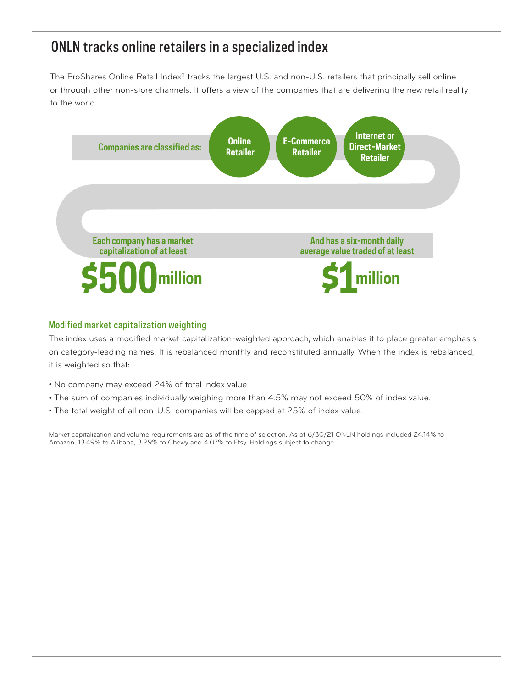# ONLN tracks online retailers in a specialized index

The ProShares Online Retail Index® tracks the largest U.S. and non-U.S. retailers that principally sell online or through other non-store channels. It offers a view of the companies that are delivering the new retail reality to the world.



### Modified market capitalization weighting

The index uses a modified market capitalization-weighted approach, which enables it to place greater emphasis on category-leading names. It is rebalanced monthly and reconstituted annually. When the index is rebalanced, it is weighted so that:

- No company may exceed 24% of total index value.
- The sum of companies individually weighing more than 4.5% may not exceed 50% of index value.
- The total weight of all non-U.S. companies will be capped at 25% of index value.

Market capitalization and volume requirements are as of the time of selection. As of 6/30/21 ONLN holdings included 24.14% to Amazon, 13.49% to Alibaba, 3.29% to Chewy and 4.07% to Etsy. Holdings subject to change.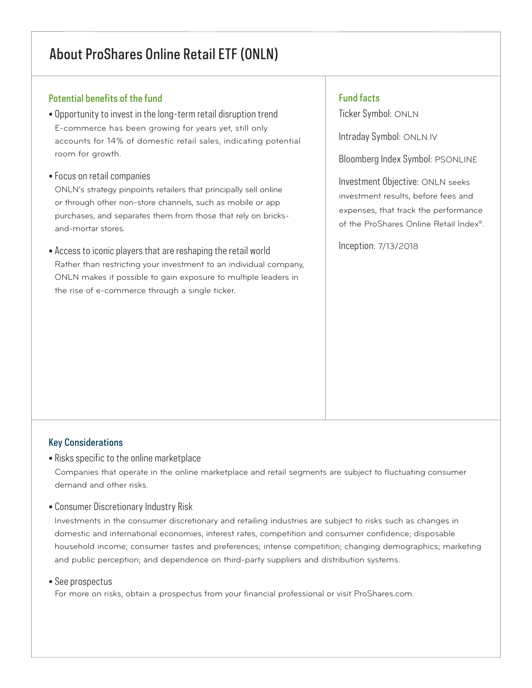# About ProShares Online Retail ETF (ONLN)

### Potential benefits of the fund

- Opportunity to invest in the long-term retail disruption trend E-commerce has been growing for years yet, still only accounts for 14% of domestic retail sales, indicating potential room for growth.
- Focus on retail companies

ONLN's strategy pinpoints retailers that principally sell online or through other non-store channels, such as mobile or app purchases, and separates them from those that rely on bricksand-mortar stores.

• Access to iconic players that are reshaping the retail world Rather than restricting your investment to an individual company, ONLN makes it possible to gain exposure to multiple leaders in the rise of e-commerce through a single ticker.

### Fund facts

Ticker Symbol: ONLN

Intraday Symbol: ONLN.IV

Bloomberg Index Symbol: PSONLINE

Investment Objective: ONLN seeks investment results, before fees and expenses, that track the performance of the ProShares Online Retail Index®.

Inception: 7/13/2018

### Key Considerations

• Risks specific to the online marketplace

Companies that operate in the online marketplace and retail segments are subject to fluctuating consumer demand and other risks.

• Consumer Discretionary Industry Risk

Investments in the consumer discretionary and retailing industries are subject to risks such as changes in domestic and international economies, interest rates, competition and consumer confidence; disposable household income; consumer tastes and preferences; intense competition; changing demographics; marketing and public perception; and dependence on third-party suppliers and distribution systems.

#### • See prospectus

For more on risks, obtain a prospectus from your financial professional or visit ProShares.com.